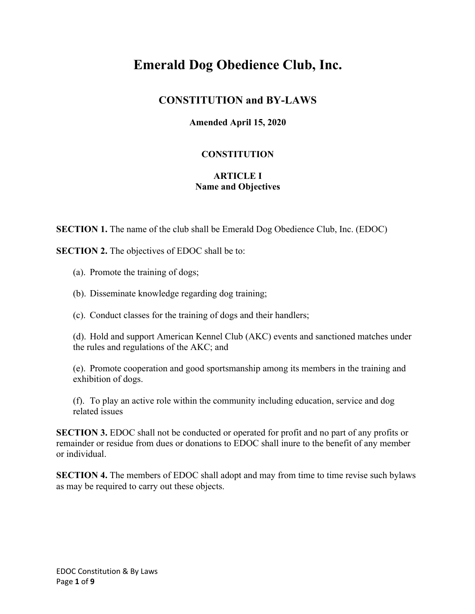# **Emerald Dog Obedience Club, Inc.**

## **CONSTITUTION and BY-LAWS**

## **Amended April 15, 2020**

## **CONSTITUTION**

#### **ARTICLE I Name and Objectives**

**SECTION 1.** The name of the club shall be Emerald Dog Obedience Club, Inc. (EDOC)

**SECTION 2.** The objectives of EDOC shall be to:

- (a). Promote the training of dogs;
- (b). Disseminate knowledge regarding dog training;
- (c). Conduct classes for the training of dogs and their handlers;

(d). Hold and support American Kennel Club (AKC) events and sanctioned matches under the rules and regulations of the AKC; and

(e). Promote cooperation and good sportsmanship among its members in the training and exhibition of dogs.

(f). To play an active role within the community including education, service and dog related issues

**SECTION 3.** EDOC shall not be conducted or operated for profit and no part of any profits or remainder or residue from dues or donations to EDOC shall inure to the benefit of any member or individual.

**SECTION 4.** The members of EDOC shall adopt and may from time to time revise such bylaws as may be required to carry out these objects.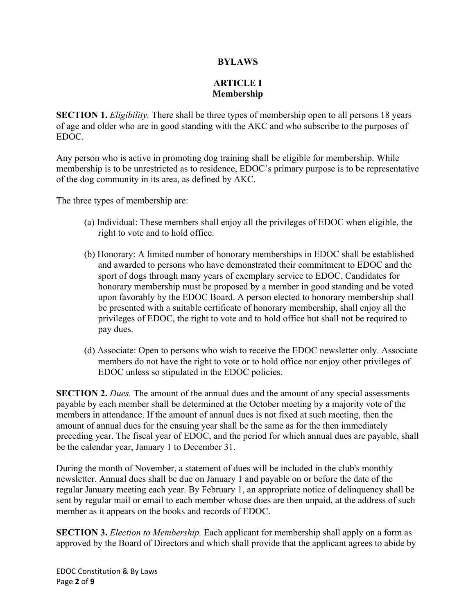#### **BYLAWS**

## **ARTICLE I Membership**

**SECTION 1.** *Eligibility*. There shall be three types of membership open to all persons 18 years of age and older who are in good standing with the AKC and who subscribe to the purposes of EDOC.

Any person who is active in promoting dog training shall be eligible for membership. While membership is to be unrestricted as to residence, EDOC's primary purpose is to be representative of the dog community in its area, as defined by AKC.

The three types of membership are:

- (a) Individual: These members shall enjoy all the privileges of EDOC when eligible, the right to vote and to hold office.
- (b) Honorary: A limited number of honorary memberships in EDOC shall be established and awarded to persons who have demonstrated their commitment to EDOC and the sport of dogs through many years of exemplary service to EDOC. Candidates for honorary membership must be proposed by a member in good standing and be voted upon favorably by the EDOC Board. A person elected to honorary membership shall be presented with a suitable certificate of honorary membership, shall enjoy all the privileges of EDOC, the right to vote and to hold office but shall not be required to pay dues.
- (d) Associate: Open to persons who wish to receive the EDOC newsletter only. Associate members do not have the right to vote or to hold office nor enjoy other privileges of EDOC unless so stipulated in the EDOC policies.

**SECTION 2.** *Dues.* The amount of the annual dues and the amount of any special assessments payable by each member shall be determined at the October meeting by a majority vote of the members in attendance. If the amount of annual dues is not fixed at such meeting, then the amount of annual dues for the ensuing year shall be the same as for the then immediately preceding year. The fiscal year of EDOC, and the period for which annual dues are payable, shall be the calendar year, January 1 to December 31.

During the month of November, a statement of dues will be included in the club's monthly newsletter. Annual dues shall be due on January 1 and payable on or before the date of the regular January meeting each year. By February 1, an appropriate notice of delinquency shall be sent by regular mail or email to each member whose dues are then unpaid, at the address of such member as it appears on the books and records of EDOC.

**SECTION 3.** *Election to Membership.* Each applicant for membership shall apply on a form as approved by the Board of Directors and which shall provide that the applicant agrees to abide by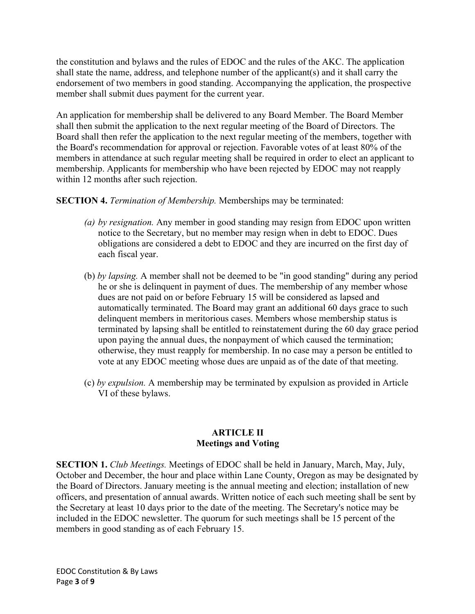the constitution and bylaws and the rules of EDOC and the rules of the AKC. The application shall state the name, address, and telephone number of the applicant(s) and it shall carry the endorsement of two members in good standing. Accompanying the application, the prospective member shall submit dues payment for the current year.

An application for membership shall be delivered to any Board Member. The Board Member shall then submit the application to the next regular meeting of the Board of Directors. The Board shall then refer the application to the next regular meeting of the members, together with the Board's recommendation for approval or rejection. Favorable votes of at least 80% of the members in attendance at such regular meeting shall be required in order to elect an applicant to membership. Applicants for membership who have been rejected by EDOC may not reapply within 12 months after such rejection.

## **SECTION 4.** *Termination of Membership.* Memberships may be terminated:

- *(a) by resignation.* Any member in good standing may resign from EDOC upon written notice to the Secretary, but no member may resign when in debt to EDOC. Dues obligations are considered a debt to EDOC and they are incurred on the first day of each fiscal year.
- (b) *by lapsing.* A member shall not be deemed to be "in good standing" during any period he or she is delinquent in payment of dues. The membership of any member whose dues are not paid on or before February 15 will be considered as lapsed and automatically terminated. The Board may grant an additional 60 days grace to such delinquent members in meritorious cases. Members whose membership status is terminated by lapsing shall be entitled to reinstatement during the 60 day grace period upon paying the annual dues, the nonpayment of which caused the termination; otherwise, they must reapply for membership. In no case may a person be entitled to vote at any EDOC meeting whose dues are unpaid as of the date of that meeting.
- (c) *by expulsion.* A membership may be terminated by expulsion as provided in Article VI of these bylaws.

#### **ARTICLE II Meetings and Voting**

**SECTION 1.** *Club Meetings.* Meetings of EDOC shall be held in January, March, May, July, October and December, the hour and place within Lane County, Oregon as may be designated by the Board of Directors. January meeting is the annual meeting and election; installation of new officers, and presentation of annual awards. Written notice of each such meeting shall be sent by the Secretary at least 10 days prior to the date of the meeting. The Secretary's notice may be included in the EDOC newsletter. The quorum for such meetings shall be 15 percent of the members in good standing as of each February 15.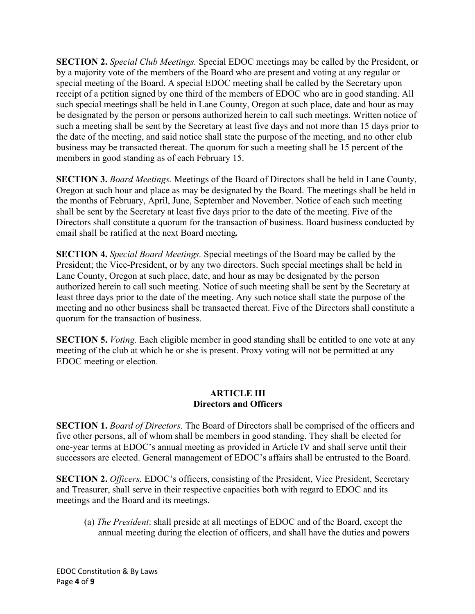**SECTION 2.** *Special Club Meetings.* Special EDOC meetings may be called by the President, or by a majority vote of the members of the Board who are present and voting at any regular or special meeting of the Board. A special EDOC meeting shall be called by the Secretary upon receipt of a petition signed by one third of the members of EDOC who are in good standing. All such special meetings shall be held in Lane County, Oregon at such place, date and hour as may be designated by the person or persons authorized herein to call such meetings. Written notice of such a meeting shall be sent by the Secretary at least five days and not more than 15 days prior to the date of the meeting, and said notice shall state the purpose of the meeting, and no other club business may be transacted thereat. The quorum for such a meeting shall be 15 percent of the members in good standing as of each February 15.

**SECTION 3.** *Board Meetings.* Meetings of the Board of Directors shall be held in Lane County, Oregon at such hour and place as may be designated by the Board. The meetings shall be held in the months of February, April, June, September and November. Notice of each such meeting shall be sent by the Secretary at least five days prior to the date of the meeting. Five of the Directors shall constitute a quorum for the transaction of business. Board business conducted by email shall be ratified at the next Board meeting*.*

**SECTION 4.** *Special Board Meetings.* Special meetings of the Board may be called by the President; the Vice-President, or by any two directors. Such special meetings shall be held in Lane County, Oregon at such place, date, and hour as may be designated by the person authorized herein to call such meeting. Notice of such meeting shall be sent by the Secretary at least three days prior to the date of the meeting. Any such notice shall state the purpose of the meeting and no other business shall be transacted thereat. Five of the Directors shall constitute a quorum for the transaction of business.

**SECTION 5.** *Voting.* Each eligible member in good standing shall be entitled to one vote at any meeting of the club at which he or she is present. Proxy voting will not be permitted at any EDOC meeting or election.

#### **ARTICLE III Directors and Officers**

**SECTION 1.** *Board of Directors.* The Board of Directors shall be comprised of the officers and five other persons, all of whom shall be members in good standing. They shall be elected for one-year terms at EDOC's annual meeting as provided in Article IV and shall serve until their successors are elected. General management of EDOC's affairs shall be entrusted to the Board.

**SECTION 2.** *Officers.* EDOC's officers, consisting of the President, Vice President, Secretary and Treasurer, shall serve in their respective capacities both with regard to EDOC and its meetings and the Board and its meetings.

(a) *The President*: shall preside at all meetings of EDOC and of the Board, except the annual meeting during the election of officers, and shall have the duties and powers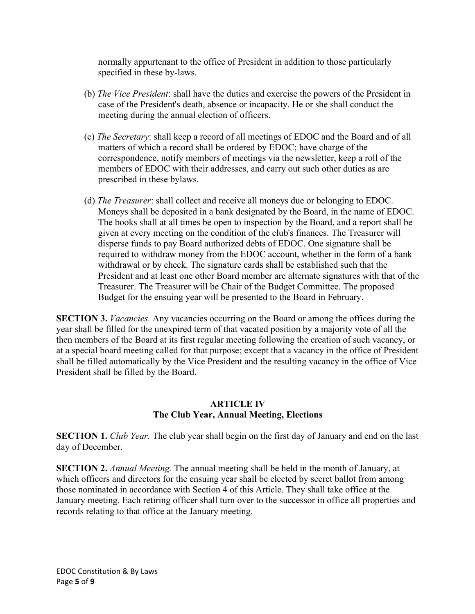normally appurtenant to the office of President in addition to those particularly specified in these by-laws.

- (b) *The Vice President*: shall have the duties and exercise the powers of the President in case of the President's death, absence or incapacity. He or she shall conduct the meeting during the annual election of officers.
- (c) *The Secretary*: shall keep a record of all meetings of EDOC and the Board and of all matters of which a record shall be ordered by EDOC; have charge of the correspondence, notify members of meetings via the newsletter, keep a roll of the members of EDOC with their addresses, and carry out such other duties as are prescribed in these bylaws.
- (d) *The Treasurer*: shall collect and receive all moneys due or belonging to EDOC. Moneys shall be deposited in a bank designated by the Board, in the name of EDOC. The books shall at all times be open to inspection by the Board, and a report shall be given at every meeting on the condition of the club's finances. The Treasurer will disperse funds to pay Board authorized debts of EDOC. One signature shall be required to withdraw money from the EDOC account, whether in the form of a bank withdrawal or by check. The signature cards shall be established such that the President and at least one other Board member are alternate signatures with that of the Treasurer. The Treasurer will be Chair of the Budget Committee. The proposed Budget for the ensuing year will be presented to the Board in February.

**SECTION 3.** *Vacancies.* Any vacancies occurring on the Board or among the offices during the year shall be filled for the unexpired term of that vacated position by a majority vote of all the then members of the Board at its first regular meeting following the creation of such vacancy, or at a special board meeting called for that purpose; except that a vacancy in the office of President shall be filled automatically by the Vice President and the resulting vacancy in the office of Vice President shall be filled by the Board.

## **ARTICLE IV The Club Year, Annual Meeting, Elections**

**SECTION 1.** *Club Year*. The club year shall begin on the first day of January and end on the last day of December.

**SECTION 2.** *Annual Meeting.* The annual meeting shall be held in the month of January, at which officers and directors for the ensuing year shall be elected by secret ballot from among those nominated in accordance with Section 4 of this Article. They shall take office at the January meeting. Each retiring officer shall turn over to the successor in office all properties and records relating to that office at the January meeting.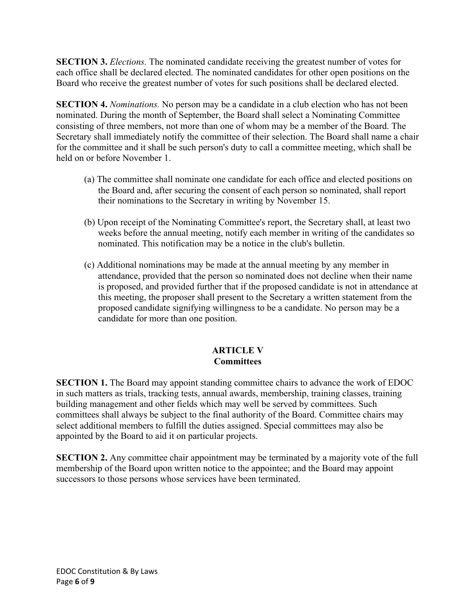**SECTION 3.** *Elections.* The nominated candidate receiving the greatest number of votes for each office shall be declared elected. The nominated candidates for other open positions on the Board who receive the greatest number of votes for such positions shall be declared elected.

**SECTION 4.** *Nominations.* No person may be a candidate in a club election who has not been nominated. During the month of September, the Board shall select a Nominating Committee consisting of three members, not more than one of whom may be a member of the Board. The Secretary shall immediately notify the committee of their selection. The Board shall name a chair for the committee and it shall be such person's duty to call a committee meeting, which shall be held on or before November 1.

- (a) The committee shall nominate one candidate for each office and elected positions on the Board and, after securing the consent of each person so nominated, shall report their nominations to the Secretary in writing by November 15.
- (b) Upon receipt of the Nominating Committee's report, the Secretary shall, at least two weeks before the annual meeting, notify each member in writing of the candidates so nominated. This notification may be a notice in the club's bulletin.
- (c) Additional nominations may be made at the annual meeting by any member in attendance, provided that the person so nominated does not decline when their name is proposed, and provided further that if the proposed candidate is not in attendance at this meeting, the proposer shall present to the Secretary a written statement from the proposed candidate signifying willingness to be a candidate. No person may be a candidate for more than one position.

## **ARTICLE V Committees**

**SECTION 1.** The Board may appoint standing committee chairs to advance the work of EDOC in such matters as trials, tracking tests, annual awards, membership, training classes, training building management and other fields which may well be served by committees. Such committees shall always be subject to the final authority of the Board. Committee chairs may select additional members to fulfill the duties assigned. Special committees may also be appointed by the Board to aid it on particular projects.

**SECTION 2.** Any committee chair appointment may be terminated by a majority vote of the full membership of the Board upon written notice to the appointee; and the Board may appoint successors to those persons whose services have been terminated.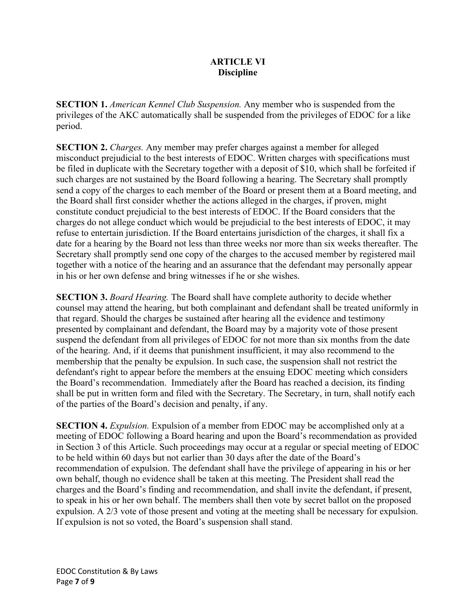## **ARTICLE VI Discipline**

**SECTION 1.** *American Kennel Club Suspension.* Any member who is suspended from the privileges of the AKC automatically shall be suspended from the privileges of EDOC for a like period.

**SECTION 2.** *Charges.* Any member may prefer charges against a member for alleged misconduct prejudicial to the best interests of EDOC. Written charges with specifications must be filed in duplicate with the Secretary together with a deposit of \$10, which shall be forfeited if such charges are not sustained by the Board following a hearing. The Secretary shall promptly send a copy of the charges to each member of the Board or present them at a Board meeting, and the Board shall first consider whether the actions alleged in the charges, if proven, might constitute conduct prejudicial to the best interests of EDOC. If the Board considers that the charges do not allege conduct which would be prejudicial to the best interests of EDOC, it may refuse to entertain jurisdiction. If the Board entertains jurisdiction of the charges, it shall fix a date for a hearing by the Board not less than three weeks nor more than six weeks thereafter. The Secretary shall promptly send one copy of the charges to the accused member by registered mail together with a notice of the hearing and an assurance that the defendant may personally appear in his or her own defense and bring witnesses if he or she wishes.

**SECTION 3.** *Board Hearing.* The Board shall have complete authority to decide whether counsel may attend the hearing, but both complainant and defendant shall be treated uniformly in that regard. Should the charges be sustained after hearing all the evidence and testimony presented by complainant and defendant, the Board may by a majority vote of those present suspend the defendant from all privileges of EDOC for not more than six months from the date of the hearing. And, if it deems that punishment insufficient, it may also recommend to the membership that the penalty be expulsion. In such case, the suspension shall not restrict the defendant's right to appear before the members at the ensuing EDOC meeting which considers the Board's recommendation. Immediately after the Board has reached a decision, its finding shall be put in written form and filed with the Secretary. The Secretary, in turn, shall notify each of the parties of the Board's decision and penalty, if any.

**SECTION 4.** *Expulsion*. Expulsion of a member from EDOC may be accomplished only at a meeting of EDOC following a Board hearing and upon the Board's recommendation as provided in Section 3 of this Article. Such proceedings may occur at a regular or special meeting of EDOC to be held within 60 days but not earlier than 30 days after the date of the Board's recommendation of expulsion. The defendant shall have the privilege of appearing in his or her own behalf, though no evidence shall be taken at this meeting. The President shall read the charges and the Board's finding and recommendation, and shall invite the defendant, if present, to speak in his or her own behalf. The members shall then vote by secret ballot on the proposed expulsion. A 2/3 vote of those present and voting at the meeting shall be necessary for expulsion. If expulsion is not so voted, the Board's suspension shall stand.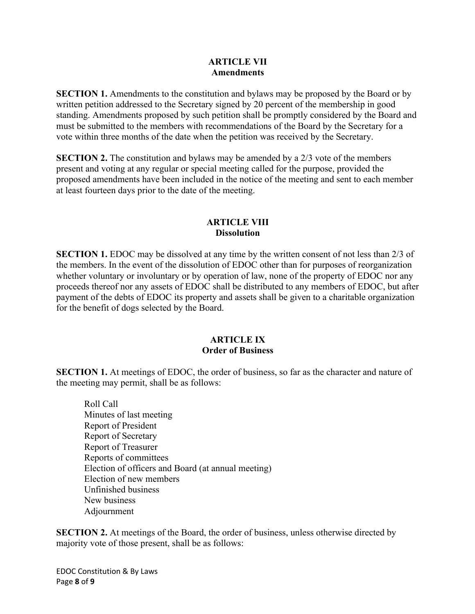#### **ARTICLE VII Amendments**

**SECTION 1.** Amendments to the constitution and bylaws may be proposed by the Board or by written petition addressed to the Secretary signed by 20 percent of the membership in good standing. Amendments proposed by such petition shall be promptly considered by the Board and must be submitted to the members with recommendations of the Board by the Secretary for a vote within three months of the date when the petition was received by the Secretary.

**SECTION 2.** The constitution and bylaws may be amended by a 2/3 vote of the members present and voting at any regular or special meeting called for the purpose, provided the proposed amendments have been included in the notice of the meeting and sent to each member at least fourteen days prior to the date of the meeting.

## **ARTICLE VIII Dissolution**

**SECTION 1.** EDOC may be dissolved at any time by the written consent of not less than 2/3 of the members. In the event of the dissolution of EDOC other than for purposes of reorganization whether voluntary or involuntary or by operation of law, none of the property of EDOC nor any proceeds thereof nor any assets of EDOC shall be distributed to any members of EDOC, but after payment of the debts of EDOC its property and assets shall be given to a charitable organization for the benefit of dogs selected by the Board.

#### **ARTICLE IX Order of Business**

**SECTION 1.** At meetings of EDOC, the order of business, so far as the character and nature of the meeting may permit, shall be as follows:

Roll Call Minutes of last meeting Report of President Report of Secretary Report of Treasurer Reports of committees Election of officers and Board (at annual meeting) Election of new members Unfinished business New business Adjournment

**SECTION 2.** At meetings of the Board, the order of business, unless otherwise directed by majority vote of those present, shall be as follows: